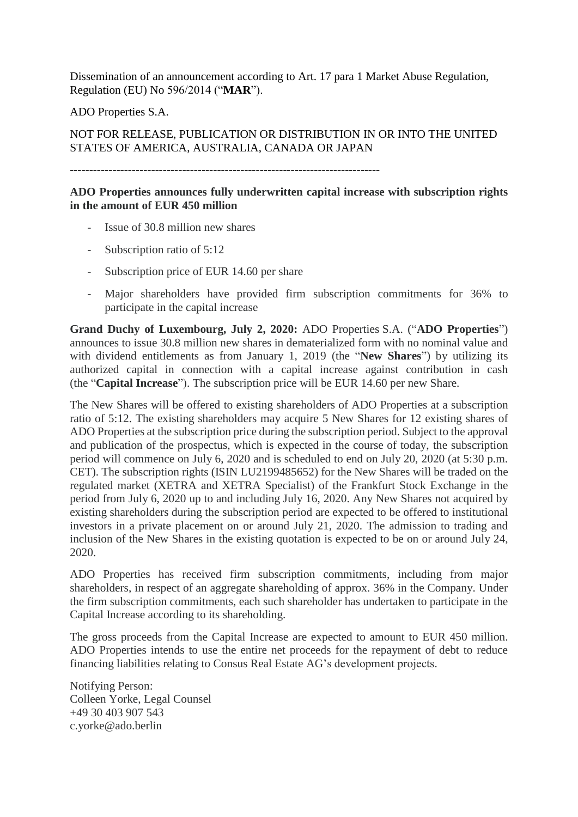Dissemination of an announcement according to Art. 17 para 1 Market Abuse Regulation, Regulation (EU) No 596/2014 ("**MAR**").

ADO Properties S.A.

## NOT FOR RELEASE, PUBLICATION OR DISTRIBUTION IN OR INTO THE UNITED STATES OF AMERICA, AUSTRALIA, CANADA OR JAPAN

--------------------------------------------------------------------------------

## **ADO Properties announces fully underwritten capital increase with subscription rights in the amount of EUR 450 million**

- Issue of 30.8 million new shares
- Subscription ratio of 5:12
- Subscription price of EUR 14.60 per share
- Major shareholders have provided firm subscription commitments for 36% to participate in the capital increase

**Grand Duchy of Luxembourg, July 2, 2020:** ADO Properties S.A. ("**ADO Properties**") announces to issue 30.8 million new shares in dematerialized form with no nominal value and with dividend entitlements as from January 1, 2019 (the "**New Shares**") by utilizing its authorized capital in connection with a capital increase against contribution in cash (the "**Capital Increase**"). The subscription price will be EUR 14.60 per new Share.

The New Shares will be offered to existing shareholders of ADO Properties at a subscription ratio of 5:12. The existing shareholders may acquire 5 New Shares for 12 existing shares of ADO Properties at the subscription price during the subscription period. Subject to the approval and publication of the prospectus, which is expected in the course of today, the subscription period will commence on July 6, 2020 and is scheduled to end on July 20, 2020 (at 5:30 p.m. CET). The subscription rights (ISIN LU2199485652) for the New Shares will be traded on the regulated market (XETRA and XETRA Specialist) of the Frankfurt Stock Exchange in the period from July 6, 2020 up to and including July 16, 2020. Any New Shares not acquired by existing shareholders during the subscription period are expected to be offered to institutional investors in a private placement on or around July 21, 2020. The admission to trading and inclusion of the New Shares in the existing quotation is expected to be on or around July 24, 2020.

ADO Properties has received firm subscription commitments, including from major shareholders, in respect of an aggregate shareholding of approx. 36% in the Company. Under the firm subscription commitments, each such shareholder has undertaken to participate in the Capital Increase according to its shareholding.

The gross proceeds from the Capital Increase are expected to amount to EUR 450 million. ADO Properties intends to use the entire net proceeds for the repayment of debt to reduce financing liabilities relating to Consus Real Estate AG's development projects.

Notifying Person: Colleen Yorke, Legal Counsel +49 30 403 907 543 c.yorke@ado.berlin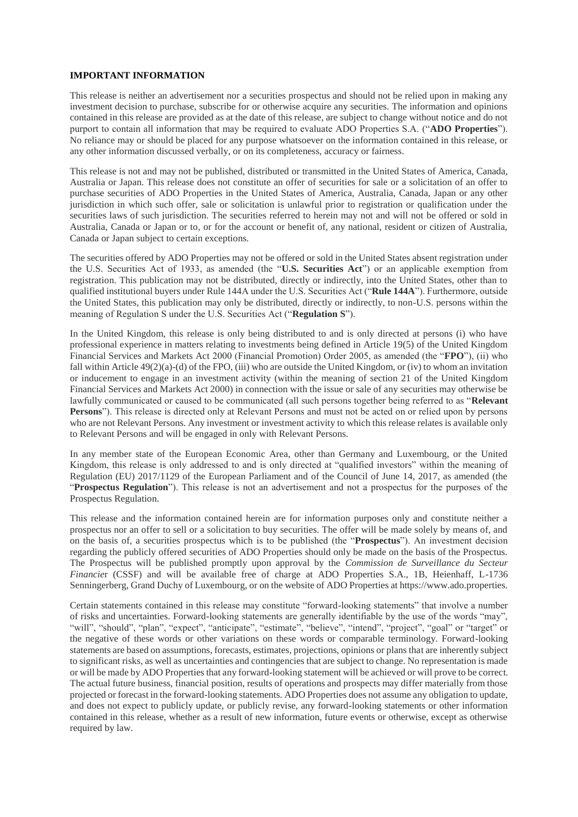## **IMPORTANT INFORMATION**

This release is neither an advertisement nor a securities prospectus and should not be relied upon in making any investment decision to purchase, subscribe for or otherwise acquire any securities. The information and opinions contained in this release are provided as at the date of this release, are subject to change without notice and do not purport to contain all information that may be required to evaluate ADO Properties S.A. ("**ADO Properties**"). No reliance may or should be placed for any purpose whatsoever on the information contained in this release, or any other information discussed verbally, or on its completeness, accuracy or fairness.

This release is not and may not be published, distributed or transmitted in the United States of America, Canada, Australia or Japan. This release does not constitute an offer of securities for sale or a solicitation of an offer to purchase securities of ADO Properties in the United States of America, Australia, Canada, Japan or any other jurisdiction in which such offer, sale or solicitation is unlawful prior to registration or qualification under the securities laws of such jurisdiction. The securities referred to herein may not and will not be offered or sold in Australia, Canada or Japan or to, or for the account or benefit of, any national, resident or citizen of Australia, Canada or Japan subject to certain exceptions.

The securities offered by ADO Properties may not be offered or sold in the United States absent registration under the U.S. Securities Act of 1933, as amended (the "**U.S. Securities Act**") or an applicable exemption from registration. This publication may not be distributed, directly or indirectly, into the United States, other than to qualified institutional buyers under Rule 144A under the U.S. Securities Act ("**Rule 144A**"). Furthermore, outside the United States, this publication may only be distributed, directly or indirectly, to non-U.S. persons within the meaning of Regulation S under the U.S. Securities Act ("**Regulation S**").

In the United Kingdom, this release is only being distributed to and is only directed at persons (i) who have professional experience in matters relating to investments being defined in Article 19(5) of the United Kingdom Financial Services and Markets Act 2000 (Financial Promotion) Order 2005, as amended (the "**FPO**"), (ii) who fall within Article 49(2)(a)-(d) of the FPO, (iii) who are outside the United Kingdom, or (iv) to whom an invitation or inducement to engage in an investment activity (within the meaning of section 21 of the United Kingdom Financial Services and Markets Act 2000) in connection with the issue or sale of any securities may otherwise be lawfully communicated or caused to be communicated (all such persons together being referred to as "**Relevant Persons**"). This release is directed only at Relevant Persons and must not be acted on or relied upon by persons who are not Relevant Persons. Any investment or investment activity to which this release relates is available only to Relevant Persons and will be engaged in only with Relevant Persons.

In any member state of the European Economic Area, other than Germany and Luxembourg, or the United Kingdom, this release is only addressed to and is only directed at "qualified investors" within the meaning of Regulation (EU) 2017/1129 of the European Parliament and of the Council of June 14, 2017, as amended (the "**Prospectus Regulation**"). This release is not an advertisement and not a prospectus for the purposes of the Prospectus Regulation.

This release and the information contained herein are for information purposes only and constitute neither a prospectus nor an offer to sell or a solicitation to buy securities. The offer will be made solely by means of, and on the basis of, a securities prospectus which is to be published (the "**Prospectus**"). An investment decision regarding the publicly offered securities of ADO Properties should only be made on the basis of the Prospectus. The Prospectus will be published promptly upon approval by the *Commission de Surveillance du Secteur Financier* (CSSF) and will be available free of charge at ADO Properties S.A., 1B, Heienhaff, L-1736 Senningerberg, Grand Duchy of Luxembourg, or on the website of ADO Properties at https://www.ado.properties.

Certain statements contained in this release may constitute "forward-looking statements" that involve a number of risks and uncertainties. Forward-looking statements are generally identifiable by the use of the words "may", "will", "should", "plan", "expect", "anticipate", "estimate", "believe", "intend", "project", "goal" or "target" or the negative of these words or other variations on these words or comparable terminology. Forward-looking statements are based on assumptions, forecasts, estimates, projections, opinions or plans that are inherently subject to significant risks, as well as uncertainties and contingencies that are subject to change. No representation is made or will be made by ADO Properties that any forward-looking statement will be achieved or will prove to be correct. The actual future business, financial position, results of operations and prospects may differ materially from those projected or forecast in the forward-looking statements. ADO Properties does not assume any obligation to update, and does not expect to publicly update, or publicly revise, any forward-looking statements or other information contained in this release, whether as a result of new information, future events or otherwise, except as otherwise required by law.